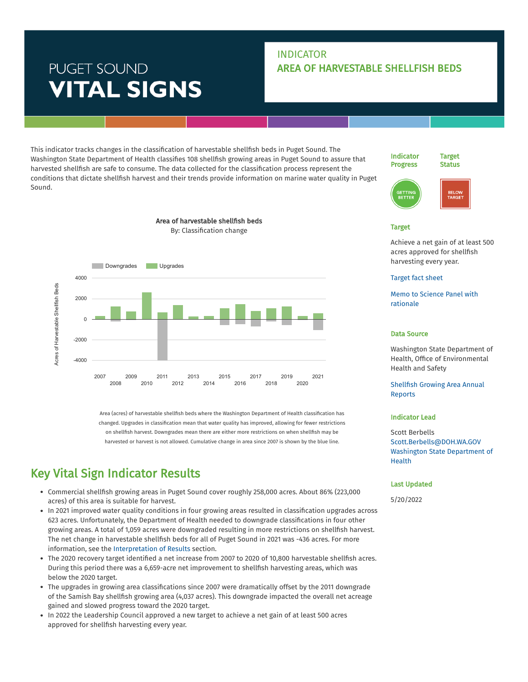# PUGET SOUND **VITAL SIGNS**

### INDICATOR AREA OF HARVESTABLE SHELLFISH BEDS

This indicator tracks changes in the classification of harvestable shellfish beds in Puget Sound. The Washington State Department of Health classifies 108 shellfish growing areas in Puget Sound to assure that harvested shellfish are safe to consume. The data collected for the classification process represent the conditions that dictate shellfish harvest and their trends provide information on marine water quality in Puget Sound.

> Area of harvestable shellfish beds By: Classification change



Indicator

Target **Status** 



#### Target

Achieve a net gain of at least 500 acres approved for shellfish harvesting every year.

#### [Target](https://pspwa.box.com/s/vc7bdefcbcuhw2zj3m37qcepqkeg9bop) fact sheet

Memo to Science Panel with [rationale](https://pspwa.box.com/s/eqz47vp81hwcv84najsrxk4t5q74rbk7)

#### Data Source

Washington State Department of Health, Office of Environmental Health and Safety

**Shellfish Growing Area Annual** Reports

#### Indicator Lead

Scott Berbells [Scott.Berbells@DOH.WA.GOV](mailto:Scott.Berbells@DOH.WA.GOV) Washington State [Department](https://www.pugetsoundinfo.wa.gov/Organization/Detail/11) of Health

#### Last Updated

5/20/2022



2013 2014 2015 2016 2017 2018 2019 2020 2021

Area (acres) of harvestable shellfish beds where the Washington Department of Health classification has changed. Upgrades in classification mean that water quality has improved, allowing for fewer restrictions on shellfish harvest. Downgrades mean there are either more restrictions on when shellfish may be harvested or harvest is not allowed. Cumulative change in area since 2007 is shown by the blue line.

## Key Vital Sign Indicator Results

2007 2008 2009 2010 2011 2012

- Commercial shellsh growing areas in Puget Sound cover roughly 258,000 acres. About 86% (223,000 acres) of this area is suitable for harvest.
- In 2021 improved water quality conditions in four growing areas resulted in classification upgrades across 623 acres. Unfortunately, the Department of Health needed to downgrade classifications in four other growing areas. A total of 1,059 acres were downgraded resulting in more restrictions on shellfish harvest. The net change in harvestable shellfish beds for all of Puget Sound in 2021 was -436 acres. For more information, see the [Interpretation](https://www.pugetsoundinfo.wa.gov/Indicator/Detail/40/VitalSigns#results) of Results section.
- The 2020 recovery target identified a net increase from 2007 to 2020 of 10,800 harvestable shellfish acres. During this period there was a 6,659-acre net improvement to shellfish harvesting areas, which was below the 2020 target.
- The upgrades in growing area classifications since 2007 were dramatically offset by the 2011 downgrade of the Samish Bay shellfish growing area (4,037 acres). This downgrade impacted the overall net acreage gained and slowed progress toward the 2020 target.
- In 2022 the Leadership Council approved a new target to achieve a net gain of at least 500 acres approved for shellfish harvesting every year.